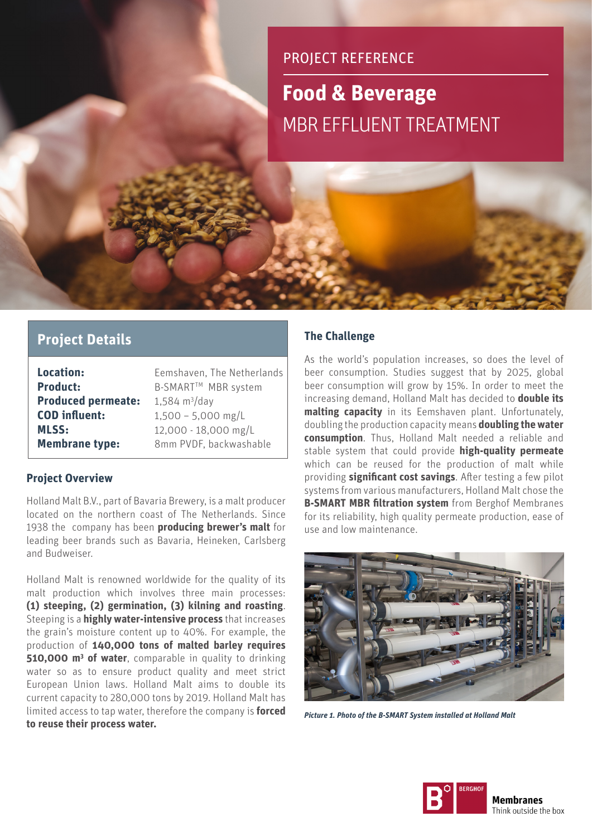# PROJECT REFERENCE

## **Food & Beverage** MBR EFFLUENT TREATMENT

### **Project Details**

| <b>Location:</b>          | Eemshaven, The Netherlands |  |
|---------------------------|----------------------------|--|
| <b>Product:</b>           | B-SMART™ MBR system        |  |
| <b>Produced permeate:</b> | 1,584 $m^3$ /day           |  |
| <b>COD</b> influent:      | $1,500 - 5,000$ mg/L       |  |
| <b>MLSS:</b>              | 12,000 - 18,000 mg/L       |  |
| <b>Membrane type:</b>     | 8mm PVDF, backwashable     |  |

#### **Project Overview**

Holland Malt B.V., part of Bavaria Brewery, is a malt producer located on the northern coast of The Netherlands. Since 1938 the company has been **producing brewer's malt** for leading beer brands such as Bavaria, Heineken, Carlsberg and Budweiser.

Holland Malt is renowned worldwide for the quality of its malt production which involves three main processes: **(1) steeping, (2) germination, (3) kilning and roasting**. Steeping is a **highly water-intensive process** that increases the grain's moisture content up to 40%. For example, the production of **140,000 tons of malted barley requires 510,000 m<sup>3</sup> of water**, comparable in quality to drinking water so as to ensure product quality and meet strict European Union laws. Holland Malt aims to double its current capacity to 280,000 tons by 2019. Holland Malt has limited access to tap water, therefore the company is **forced to reuse their process water.**

#### **The Challenge**

As the world's population increases, so does the level of beer consumption. Studies suggest that by 2025, global beer consumption will grow by 15%. In order to meet the increasing demand, Holland Malt has decided to **double its malting capacity** in its Eemshaven plant. Unfortunately, doubling the production capacity means **doubling the water consumption**. Thus, Holland Malt needed a reliable and stable system that could provide **high-quality permeate** which can be reused for the production of malt while providing **significant cost savings**. After testing a few pilot systems from various manufacturers, Holland Malt chose the **B-SMART MBR filtration system** from Berghof Membranes for its reliability, high quality permeate production, ease of use and low maintenance.



*Picture 1. Photo of the B-SMART System installed at Holland Malt*